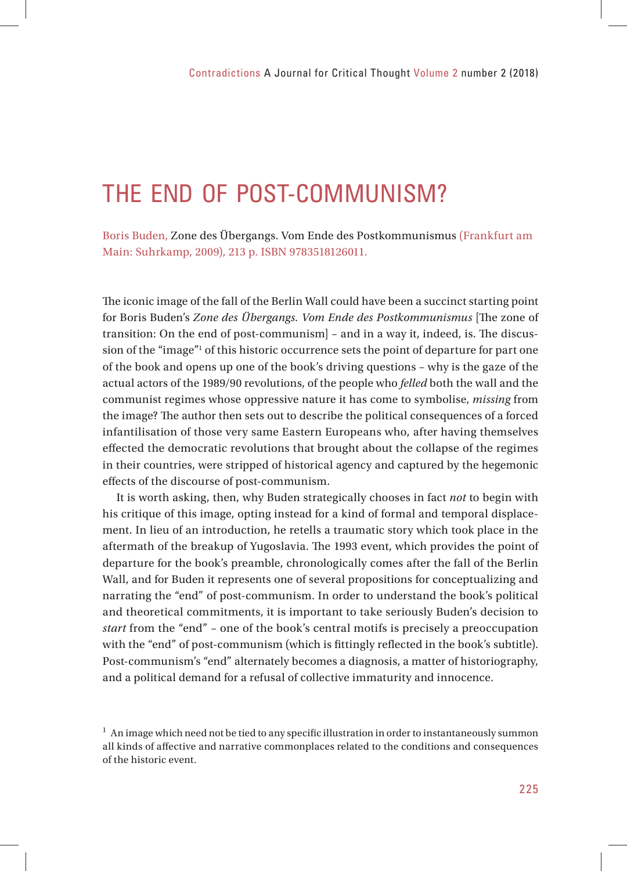# THE END OF POST-COMMUNISM?

Boris Buden, Zone des Übergangs. Vom Ende des Postkommunismus (Frankfurt am Main: Suhrkamp, 2009), 213 p. ISBN 9783518126011.

The iconic image of the fall of the Berlin Wall could have been a succinct starting point for Boris Buden's *Zone des Übergangs. Vom Ende des Postkommunismus* [The zone of transition: On the end of post-communism $]$  – and in a way it, indeed, is. The discussion of the "image"1 of this historic occurrence sets the point of departure for part one of the book and opens up one of the book's driving questions – why is the gaze of the actual actors of the 1989/90 revolutions, of the people who *felled* both the wall and the communist regimes whose oppressive nature it has come to symbolise, *missing* from the image? The author then sets out to describe the political consequences of a forced infantilisation of those very same Eastern Europeans who, after having themselves effected the democratic revolutions that brought about the collapse of the regimes in their countries, were stripped of historical agency and captured by the hegemonic effects of the discourse of post-communism.

It is worth asking, then, why Buden strategically chooses in fact *not* to begin with his critique of this image, opting instead for a kind of formal and temporal displacement. In lieu of an introduction, he retells a traumatic story which took place in the aftermath of the breakup of Yugoslavia. The 1993 event, which provides the point of departure for the book's preamble, chronologically comes after the fall of the Berlin Wall, and for Buden it represents one of several propositions for conceptualizing and narrating the "end" of post-communism. In order to understand the book's political and theoretical commitments, it is important to take seriously Buden's decision to *start* from the "end" – one of the book's central motifs is precisely a preoccupation with the "end" of post-communism (which is fittingly reflected in the book's subtitle). Post-communism's "end" alternately becomes a diagnosis, a matter of historiography, and a political demand for a refusal of collective immaturity and innocence.

 $1$  An image which need not be tied to any specific illustration in order to instantaneously summon all kinds of affective and narrative commonplaces related to the conditions and consequences of the historic event.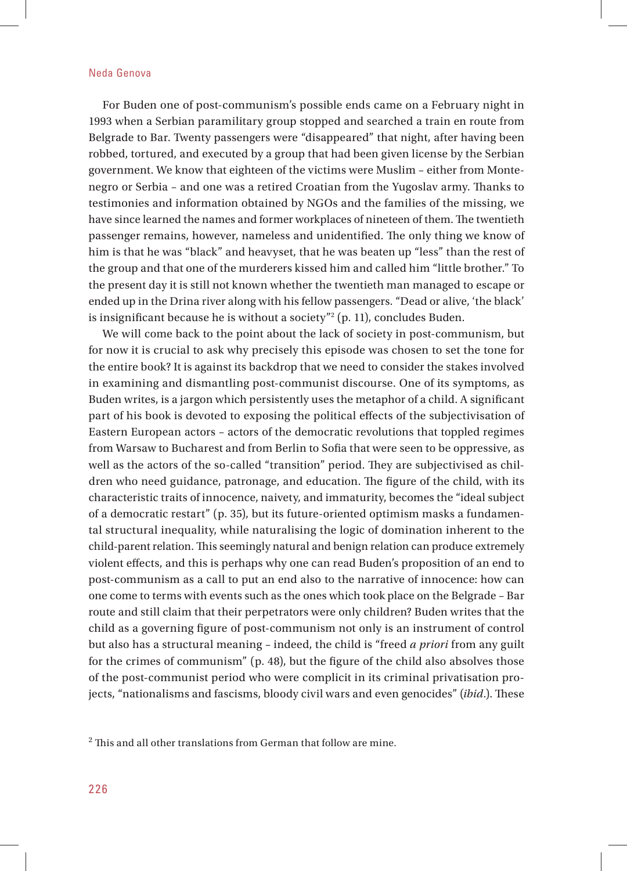For Buden one of post-communism's possible ends came on a February night in 1993 when a Serbian paramilitary group stopped and searched a train en route from Belgrade to Bar. Twenty passengers were "disappeared" that night, after having been robbed, tortured, and executed by a group that had been given license by the Serbian government. We know that eighteen of the victims were Muslim – either from Montenegro or Serbia - and one was a retired Croatian from the Yugoslav army. Thanks to testimonies and information obtained by NGOs and the families of the missing, we have since learned the names and former workplaces of nineteen of them. The twentieth passenger remains, however, nameless and unidentified. The only thing we know of him is that he was "black" and heavyset, that he was beaten up "less" than the rest of the group and that one of the murderers kissed him and called him "little brother." To the present day it is still not known whether the twentieth man managed to escape or ended up in the Drina river along with his fellow passengers. "Dead or alive, 'the black' is insignificant because he is without a society" $^{\rm 2}$  (p. 11), concludes Buden.

We will come back to the point about the lack of society in post-communism, but for now it is crucial to ask why precisely this episode was chosen to set the tone for the entire book? It is against its backdrop that we need to consider the stakes involved in examining and dismantling post-communist discourse. One of its symptoms, as Buden writes, is a jargon which persistently uses the metaphor of a child. A significant part of his book is devoted to exposing the political effects of the subjectivisation of Eastern European actors – actors of the democratic revolutions that toppled regimes from Warsaw to Bucharest and from Berlin to Sofia that were seen to be oppressive, as well as the actors of the so-called "transition" period. They are subjectivised as children who need guidance, patronage, and education. The figure of the child, with its characteristic traits of innocence, naivety, and immaturity, becomes the "ideal subject of a democratic restart" (p. 35), but its future-oriented optimism masks a fundamental structural inequality, while naturalising the logic of domination inherent to the child-parent relation. This seemingly natural and benign relation can produce extremely violent effects, and this is perhaps why one can read Buden's proposition of an end to post-communism as a call to put an end also to the narrative of innocence: how can one come to terms with events such as the ones which took place on the Belgrade – Bar route and still claim that their perpetrators were only children? Buden writes that the child as a governing figure of post-communism not only is an instrument of control but also has a structural meaning – indeed, the child is "freed *a priori* from any guilt for the crimes of communism"  $(p. 48)$ , but the figure of the child also absolves those of the post-communist period who were complicit in its criminal privatisation projects, "nationalisms and fascisms, bloody civil wars and even genocides" (*ibid.*). These

 $^2$  This and all other translations from German that follow are mine.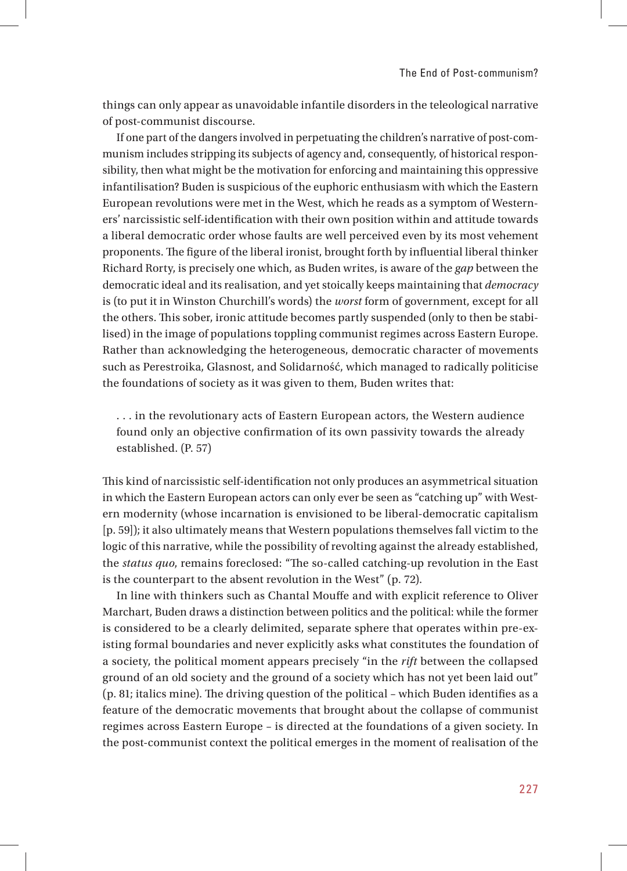things can only appear as unavoidable infantile disorders in the teleological narrative of post-communist discourse.

If one part of the dangers involved in perpetuating the children's narrative of post-communism includes stripping its subjects of agency and, consequently, of historical responsibility, then what might be the motivation for enforcing and maintaining this oppressive infantilisation? Buden is suspicious of the euphoric enthusiasm with which the Eastern European revolutions were met in the West, which he reads as a symptom of Westerners' narcissistic self-identification with their own position within and attitude towards a liberal democratic order whose faults are well perceived even by its most vehement proponents. The figure of the liberal ironist, brought forth by influential liberal thinker Richard Rorty, is precisely one which, as Buden writes, is aware of the *gap* between the democratic ideal and its realisation, and yet stoically keeps maintaining that *democracy* is (to put it in Winston Churchill's words) the *worst* form of government, except for all the others. This sober, ironic attitude becomes partly suspended (only to then be stabilised) in the image of populations toppling communist regimes across Eastern Europe. Rather than acknowledging the heterogeneous, democratic character of movements such as Perestroika, Glasnost, and Solidarność, which managed to radically politicise the foundations of society as it was given to them, Buden writes that:

. . . in the revolutionary acts of Eastern European actors, the Western audience found only an objective confirmation of its own passivity towards the already established. (P. 57)

This kind of narcissistic self-identification not only produces an asymmetrical situation in which the Eastern European actors can only ever be seen as "catching up" with Western modernity (whose incarnation is envisioned to be liberal-democratic capitalism [p. 59]); it also ultimately means that Western populations themselves fall victim to the logic of this narrative, while the possibility of revolting against the already established, the *status quo*, remains foreclosed: "The so-called catching-up revolution in the East is the counterpart to the absent revolution in the West" (p. 72).

In line with thinkers such as Chantal Mouffe and with explicit reference to Oliver Marchart, Buden draws a distinction between politics and the political: while the former is considered to be a clearly delimited, separate sphere that operates within pre-existing formal boundaries and never explicitly asks what constitutes the foundation of a society, the political moment appears precisely "in the *rift* between the collapsed ground of an old society and the ground of a society which has not yet been laid out"  $(p. 81;$  italics mine). The driving question of the political – which Buden identifies as a feature of the democratic movements that brought about the collapse of communist regimes across Eastern Europe – is directed at the foundations of a given society. In the post-communist context the political emerges in the moment of realisation of the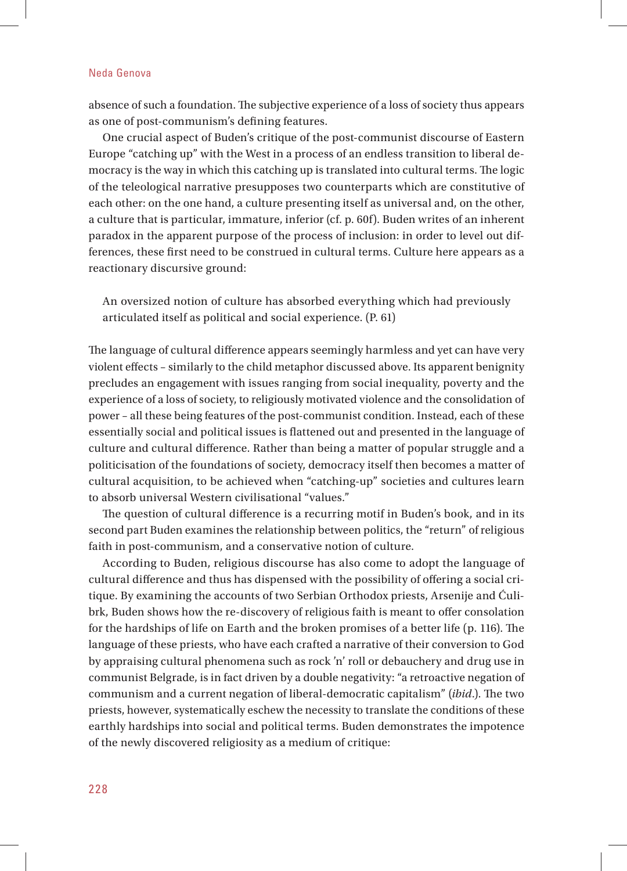absence of such a foundation. The subjective experience of a loss of society thus appears as one of post-communism's defining features.

One crucial aspect of Buden's critique of the post-communist discourse of Eastern Europe "catching up" with the West in a process of an endless transition to liberal democracy is the way in which this catching up is translated into cultural terms. The logic of the teleological narrative presupposes two counterparts which are constitutive of each other: on the one hand, a culture presenting itself as universal and, on the other, a culture that is particular, immature, inferior (cf. p. 60f). Buden writes of an inherent paradox in the apparent purpose of the process of inclusion: in order to level out differences, these first need to be construed in cultural terms. Culture here appears as a reactionary discursive ground:

An oversized notion of culture has absorbed everything which had previously articulated itself as political and social experience. (P. 61)

The language of cultural difference appears seemingly harmless and yet can have very violent effects – similarly to the child metaphor discussed above. Its apparent benignity precludes an engagement with issues ranging from social inequality, poverty and the experience of a loss of society, to religiously motivated violence and the consolidation of power – all these being features of the post-communist condition. Instead, each of these essentially social and political issues is flattened out and presented in the language of culture and cultural difference. Rather than being a matter of popular struggle and a politicisation of the foundations of society, democracy itself then becomes a matter of cultural acquisition, to be achieved when "catching-up" societies and cultures learn to absorb universal Western civilisational "values."

The question of cultural difference is a recurring motif in Buden's book, and in its second part Buden examines the relationship between politics, the "return" of religious faith in post-communism, and a conservative notion of culture.

According to Buden, religious discourse has also come to adopt the language of cultural difference and thus has dispensed with the possibility of offering a social critique. By examining the accounts of two Serbian Orthodox priests, Arsenije and Ćulibrk, Buden shows how the re-discovery of religious faith is meant to offer consolation for the hardships of life on Earth and the broken promises of a better life  $(p. 116)$ . The language of these priests, who have each crafted a narrative of their conversion to God by appraising cultural phenomena such as rock 'n' roll or debauchery and drug use in communist Belgrade, is in fact driven by a double negativity: "a retroactive negation of communism and a current negation of liberal-democratic capitalism" (*ibid.*). The two priests, however, systematically eschew the necessity to translate the conditions of these earthly hardships into social and political terms. Buden demonstrates the impotence of the newly discovered religiosity as a medium of critique: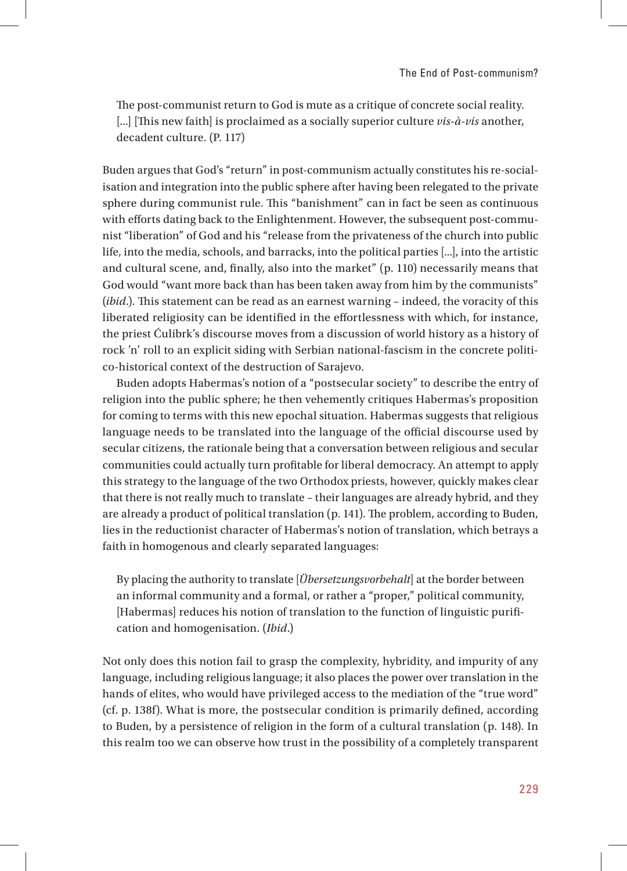The post-communist return to God is mute as a critique of concrete social reality. [...] [This new faith] is proclaimed as a socially superior culture *vis-à-vis* another, decadent culture. (P. 117)

Buden argues that God's "return" in post-communism actually constitutes his re-socialisation and integration into the public sphere after having been relegated to the private sphere during communist rule. This "banishment" can in fact be seen as continuous with efforts dating back to the Enlightenment. However, the subsequent post-communist "liberation" of God and his "release from the privateness of the church into public life, into the media, schools, and barracks, into the political parties [...], into the artistic and cultural scene, and, finally, also into the market" (p. 110) necessarily means that God would "want more back than has been taken away from him by the communists" (*ibid*.). This statement can be read as an earnest warning – indeed, the voracity of this liberated religiosity can be identified in the effortlessness with which, for instance, the priest Ćulibrk's discourse moves from a discussion of world history as a history of rock 'n' roll to an explicit siding with Serbian national-fascism in the concrete politico-historical context of the destruction of Sarajevo.

Buden adopts Habermas's notion of a "postsecular society" to describe the entry of religion into the public sphere; he then vehemently critiques Habermas's proposition for coming to terms with this new epochal situation. Habermas suggests that religious language needs to be translated into the language of the official discourse used by secular citizens, the rationale being that a conversation between religious and secular communities could actually turn profitable for liberal democracy. An attempt to apply this strategy to the language of the two Orthodox priests, however, quickly makes clear that there is not really much to translate – their languages are already hybrid, and they are already a product of political translation (p. 141). The problem, according to Buden, lies in the reductionist character of Habermas's notion of translation, which betrays a faith in homogenous and clearly separated languages:

By placing the authority to translate [*Übersetzungsvorbehalt*] at the border between an informal community and a formal, or rather a "proper," political community, [Habermas] reduces his notion of translation to the function of linguistic purification and homogenisation. (*Ibid*.)

Not only does this notion fail to grasp the complexity, hybridity, and impurity of any language, including religious language; it also places the power over translation in the hands of elites, who would have privileged access to the mediation of the "true word"  $(cf. p. 138f)$ . What is more, the postsecular condition is primarily defined, according to Buden, by a persistence of religion in the form of a cultural translation (p. 148). In this realm too we can observe how trust in the possibility of a completely transparent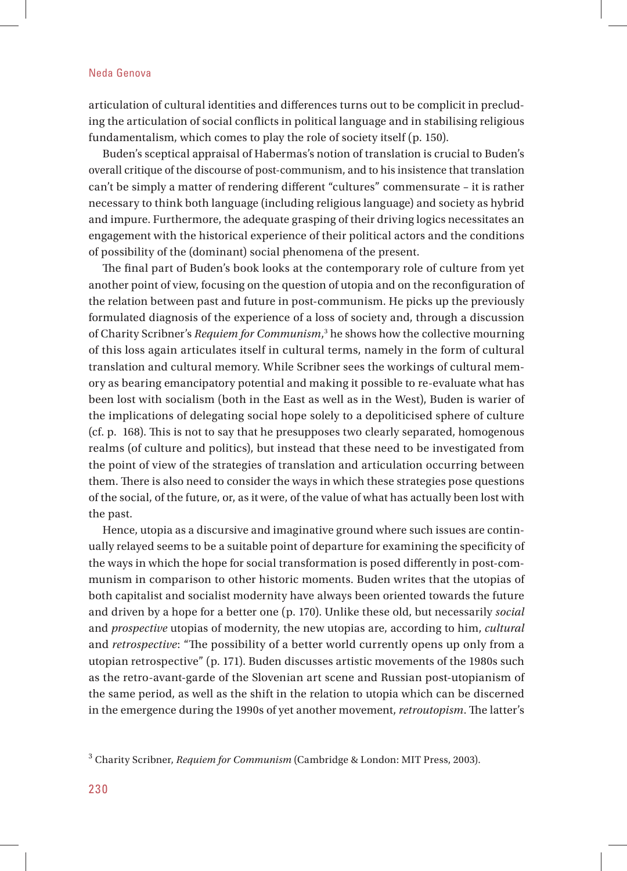articulation of cultural identities and differences turns out to be complicit in precluding the articulation of social conflicts in political language and in stabilising religious fundamentalism, which comes to play the role of society itself (p. 150).

Buden's sceptical appraisal of Habermas's notion of translation is crucial to Buden's overall critique of the discourse of post-communism, and to his insistence that translation can't be simply a matter of rendering different "cultures" commensurate - it is rather necessary to think both language (including religious language) and society as hybrid and impure. Furthermore, the adequate grasping of their driving logics necessitates an engagement with the historical experience of their political actors and the conditions of possibility of the (dominant) social phenomena of the present.

The final part of Buden's book looks at the contemporary role of culture from yet another point of view, focusing on the question of utopia and on the reconfiguration of the relation between past and future in post-communism. He picks up the previously formulated diagnosis of the experience of a loss of society and, through a discussion of Charity Scribner's *Requiem for Communism*,<sup>3</sup> he shows how the collective mourning of this loss again articulates itself in cultural terms, namely in the form of cultural translation and cultural memory. While Scribner sees the workings of cultural memory as bearing emancipatory potential and making it possible to re-evaluate what has been lost with socialism (both in the East as well as in the West), Buden is warier of the implications of delegating social hope solely to a depoliticised sphere of culture (cf. p. 168). Th is is not to say that he presupposes two clearly separated, homogenous realms (of culture and politics), but instead that these need to be investigated from the point of view of the strategies of translation and articulation occurring between them. There is also need to consider the ways in which these strategies pose questions of the social, of the future, or, as it were, of the value of what has actually been lost with the past.

Hence, utopia as a discursive and imaginative ground where such issues are continually relayed seems to be a suitable point of departure for examining the specificity of the ways in which the hope for social transformation is posed differently in post-communism in comparison to other historic moments. Buden writes that the utopias of both capitalist and socialist modernity have always been oriented towards the future and driven by a hope for a better one (p. 170). Unlike these old, but necessarily *social* and *prospective* utopias of modernity, the new utopias are, according to him, *cultural* and *retrospective*: "The possibility of a better world currently opens up only from a utopian retrospective" (p. 171). Buden discusses artistic movements of the 1980s such as the retro-avant-garde of the Slovenian art scene and Russian post-utopianism of the same period, as well as the shift in the relation to utopia which can be discerned in the emergence during the 1990s of yet another movement, *retroutopism*. The latter's

<sup>3</sup> Charity Scribner, *Requiem for Communism* (Cambridge & London: MIT Press, 2003).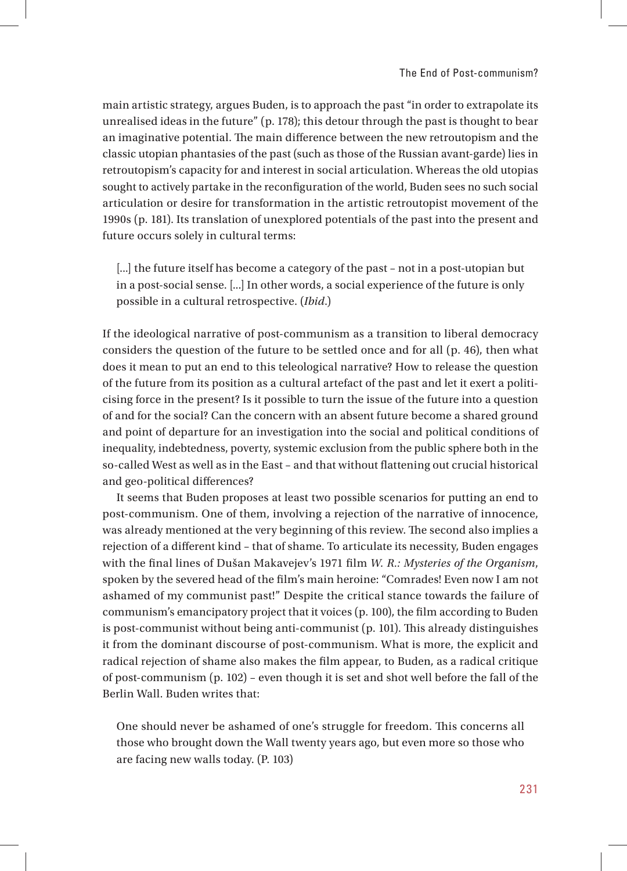main artistic strategy, argues Buden, is to approach the past "in order to extrapolate its unrealised ideas in the future" (p. 178); this detour through the past is thought to bear an imaginative potential. The main difference between the new retroutopism and the classic utopian phantasies of the past (such as those of the Russian avant-garde) lies in retroutopism's capacity for and interest in social articulation. Whereas the old utopias sought to actively partake in the reconfiguration of the world, Buden sees no such social articulation or desire for transformation in the artistic retroutopist movement of the 1990s (p. 181). Its translation of unexplored potentials of the past into the present and future occurs solely in cultural terms:

[...] the future itself has become a category of the past – not in a post-utopian but in a post-social sense. [...] In other words, a social experience of the future is only possible in a cultural retrospective. (*Ibid*.)

If the ideological narrative of post-communism as a transition to liberal democracy considers the question of the future to be settled once and for all (p. 46), then what does it mean to put an end to this teleological narrative? How to release the question of the future from its position as a cultural artefact of the past and let it exert a politicising force in the present? Is it possible to turn the issue of the future into a question of and for the social? Can the concern with an absent future become a shared ground and point of departure for an investigation into the social and political conditions of inequality, indebtedness, poverty, systemic exclusion from the public sphere both in the so-called West as well as in the East - and that without flattening out crucial historical and geo-political differences?

It seems that Buden proposes at least two possible scenarios for putting an end to post-communism. One of them, involving a rejection of the narrative of innocence, was already mentioned at the very beginning of this review. The second also implies a rejection of a different kind - that of shame. To articulate its necessity, Buden engages with the final lines of Dušan Makavejev's 1971 film *W. R.: Mysteries of the Organism*, spoken by the severed head of the film's main heroine: "Comrades! Even now I am not ashamed of my communist past!" Despite the critical stance towards the failure of communism's emancipatory project that it voices (p. 100), the film according to Buden is post-communist without being anti-communist  $(p. 101)$ . This already distinguishes it from the dominant discourse of post-communism. What is more, the explicit and radical rejection of shame also makes the film appear, to Buden, as a radical critique of post-communism (p. 102) – even though it is set and shot well before the fall of the Berlin Wall. Buden writes that:

One should never be ashamed of one's struggle for freedom. This concerns all those who brought down the Wall twenty years ago, but even more so those who are facing new walls today. (P. 103)